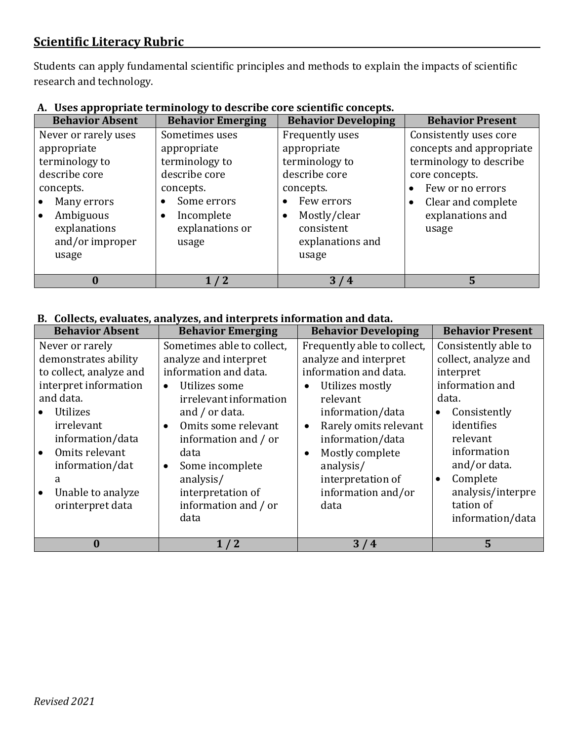# **Scientific Literacy Rubric**

Students can apply fundamental scientific principles and methods to explain the impacts of scientific research and technology.

| <b>Behavior Absent</b>                                                                                                                                      | <b>Behavior Emerging</b>                                                                                                               | <b>Behavior Developing</b>                                                                                                                              | <b>Behavior Present</b>                                                                                                                                                                          |
|-------------------------------------------------------------------------------------------------------------------------------------------------------------|----------------------------------------------------------------------------------------------------------------------------------------|---------------------------------------------------------------------------------------------------------------------------------------------------------|--------------------------------------------------------------------------------------------------------------------------------------------------------------------------------------------------|
| Never or rarely uses<br>appropriate<br>terminology to<br>describe core<br>concepts.<br>Many errors<br>Ambiguous<br>explanations<br>and/or improper<br>usage | Sometimes uses<br>appropriate<br>terminology to<br>describe core<br>concepts.<br>Some errors<br>Incomplete<br>explanations or<br>usage | Frequently uses<br>appropriate<br>terminology to<br>describe core<br>concepts.<br>Few errors<br>Mostly/clear<br>consistent<br>explanations and<br>usage | Consistently uses core<br>concepts and appropriate<br>terminology to describe<br>core concepts.<br>Few or no errors<br>$\bullet$<br>Clear and complete<br>$\bullet$<br>explanations and<br>usage |
|                                                                                                                                                             | 1/2                                                                                                                                    | 3/4                                                                                                                                                     | 5                                                                                                                                                                                                |

### **A. Uses appropriate terminology to describe core scientific concepts.**

#### **B. Collects, evaluates, analyzes, and interprets information and data.**

| <b>Behavior Absent</b>                                                                                                                                                                                                                    | <b>Behavior Emerging</b>                                                                                                                                                                                                                                                                                                       | <b>Behavior Developing</b>                                                                                                                                                                                                                                                                 | <b>Behavior Present</b>                                                                                                                                                                                                                       |
|-------------------------------------------------------------------------------------------------------------------------------------------------------------------------------------------------------------------------------------------|--------------------------------------------------------------------------------------------------------------------------------------------------------------------------------------------------------------------------------------------------------------------------------------------------------------------------------|--------------------------------------------------------------------------------------------------------------------------------------------------------------------------------------------------------------------------------------------------------------------------------------------|-----------------------------------------------------------------------------------------------------------------------------------------------------------------------------------------------------------------------------------------------|
| Never or rarely<br>demonstrates ability<br>to collect, analyze and<br>interpret information<br>and data.<br>Utilizes<br>irrelevant<br>information/data<br>Omits relevant<br>information/dat<br>a<br>Unable to analyze<br>orinterpret data | Sometimes able to collect,<br>analyze and interpret<br>information and data.<br>Utilizes some<br>$\bullet$<br>irrelevant information<br>and $/$ or data.<br>Omits some relevant<br>$\bullet$<br>information and / or<br>data<br>Some incomplete<br>$\bullet$<br>analysis/<br>interpretation of<br>information and / or<br>data | Frequently able to collect,<br>analyze and interpret<br>information and data.<br>Utilizes mostly<br>relevant<br>information/data<br>Rarely omits relevant<br>$\bullet$<br>information/data<br>Mostly complete<br>$\bullet$<br>analysis/<br>interpretation of<br>information and/or<br>data | Consistently able to<br>collect, analyze and<br>interpret<br>information and<br>data.<br>Consistently<br>identifies<br>relevant<br>information<br>and/or data.<br>Complete<br>$\bullet$<br>analysis/interpre<br>tation of<br>information/data |
| 0                                                                                                                                                                                                                                         | 1/2                                                                                                                                                                                                                                                                                                                            | 3/4                                                                                                                                                                                                                                                                                        | 5                                                                                                                                                                                                                                             |